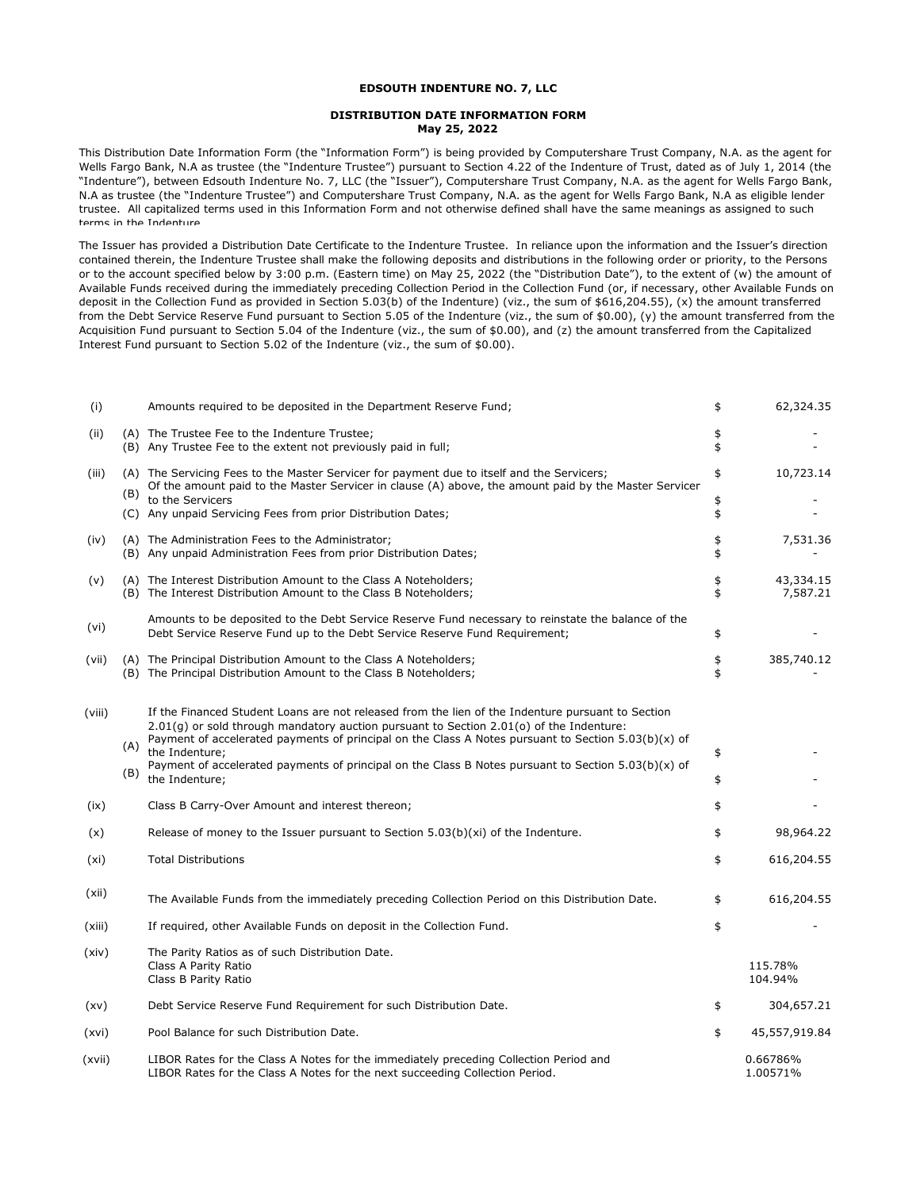## **EDSOUTH INDENTURE NO. 7, LLC**

## **DISTRIBUTION DATE INFORMATION FORM May 25, 2022**

This Distribution Date Information Form (the "Information Form") is being provided by Computershare Trust Company, N.A. as the agent for Wells Fargo Bank, N.A as trustee (the "Indenture Trustee") pursuant to Section 4.22 of the Indenture of Trust, dated as of July 1, 2014 (the "Indenture"), between Edsouth Indenture No. 7, LLC (the "Issuer"), Computershare Trust Company, N.A. as the agent for Wells Fargo Bank, N.A as trustee (the "Indenture Trustee") and Computershare Trust Company, N.A. as the agent for Wells Fargo Bank, N.A as eligible lender trustee. All capitalized terms used in this Information Form and not otherwise defined shall have the same meanings as assigned to such terms in the Indenture

The Issuer has provided a Distribution Date Certificate to the Indenture Trustee. In reliance upon the information and the Issuer's direction contained therein, the Indenture Trustee shall make the following deposits and distributions in the following order or priority, to the Persons or to the account specified below by 3:00 p.m. (Eastern time) on May 25, 2022 (the "Distribution Date"), to the extent of (w) the amount of Available Funds received during the immediately preceding Collection Period in the Collection Fund (or, if necessary, other Available Funds on deposit in the Collection Fund as provided in Section 5.03(b) of the Indenture) (viz., the sum of \$616,204.55), (x) the amount transferred from the Debt Service Reserve Fund pursuant to Section 5.05 of the Indenture (viz., the sum of \$0.00), (y) the amount transferred from the Acquisition Fund pursuant to Section 5.04 of the Indenture (viz., the sum of \$0.00), and (z) the amount transferred from the Capitalized Interest Fund pursuant to Section 5.02 of the Indenture (viz., the sum of \$0.00).

| (i)    |            | Amounts required to be deposited in the Department Reserve Fund;                                                                                                                                                                                                                                        | \$       | 62,324.35             |
|--------|------------|---------------------------------------------------------------------------------------------------------------------------------------------------------------------------------------------------------------------------------------------------------------------------------------------------------|----------|-----------------------|
| (ii)   |            | (A) The Trustee Fee to the Indenture Trustee;<br>(B) Any Trustee Fee to the extent not previously paid in full;                                                                                                                                                                                         | \$<br>\$ |                       |
| (iii)  | (B)        | (A) The Servicing Fees to the Master Servicer for payment due to itself and the Servicers;<br>Of the amount paid to the Master Servicer in clause (A) above, the amount paid by the Master Servicer                                                                                                     | \$       | 10,723.14             |
|        |            | to the Servicers<br>(C) Any unpaid Servicing Fees from prior Distribution Dates;                                                                                                                                                                                                                        | \$<br>\$ |                       |
| (iv)   |            | (A) The Administration Fees to the Administrator;<br>(B) Any unpaid Administration Fees from prior Distribution Dates;                                                                                                                                                                                  | \$<br>\$ | 7,531.36              |
| (v)    |            | (A) The Interest Distribution Amount to the Class A Noteholders;<br>(B) The Interest Distribution Amount to the Class B Noteholders;                                                                                                                                                                    | \$<br>\$ | 43,334.15<br>7,587.21 |
| (vi)   |            | Amounts to be deposited to the Debt Service Reserve Fund necessary to reinstate the balance of the<br>Debt Service Reserve Fund up to the Debt Service Reserve Fund Requirement;                                                                                                                        | \$       |                       |
| (vii)  |            | (A) The Principal Distribution Amount to the Class A Noteholders;<br>(B) The Principal Distribution Amount to the Class B Noteholders;                                                                                                                                                                  | \$<br>\$ | 385,740.12            |
| (viii) |            | If the Financed Student Loans are not released from the lien of the Indenture pursuant to Section<br>$2.01(q)$ or sold through mandatory auction pursuant to Section 2.01(o) of the Indenture:<br>Payment of accelerated payments of principal on the Class A Notes pursuant to Section $5.03(b)(x)$ of |          |                       |
|        | (A)<br>(B) | the Indenture:<br>Payment of accelerated payments of principal on the Class B Notes pursuant to Section $5.03(b)(x)$ of<br>the Indenture:                                                                                                                                                               | \$<br>\$ |                       |
| (ix)   |            | Class B Carry-Over Amount and interest thereon;                                                                                                                                                                                                                                                         | \$       |                       |
| (x)    |            | Release of money to the Issuer pursuant to Section 5.03(b)(xi) of the Indenture.                                                                                                                                                                                                                        | \$       | 98,964.22             |
| (xi)   |            | <b>Total Distributions</b>                                                                                                                                                                                                                                                                              | \$       | 616,204.55            |
| (xii)  |            | The Available Funds from the immediately preceding Collection Period on this Distribution Date.                                                                                                                                                                                                         | \$       | 616,204.55            |
| (xiii) |            | If required, other Available Funds on deposit in the Collection Fund.                                                                                                                                                                                                                                   | \$       |                       |
| (xiv)  |            | The Parity Ratios as of such Distribution Date.<br>Class A Parity Ratio<br>Class B Parity Ratio                                                                                                                                                                                                         |          | 115.78%<br>104.94%    |
| (xv)   |            | Debt Service Reserve Fund Requirement for such Distribution Date.                                                                                                                                                                                                                                       | \$       | 304,657.21            |
| (xvi)  |            | Pool Balance for such Distribution Date.                                                                                                                                                                                                                                                                | \$       | 45,557,919.84         |
| (xvii) |            | LIBOR Rates for the Class A Notes for the immediately preceding Collection Period and<br>LIBOR Rates for the Class A Notes for the next succeeding Collection Period.                                                                                                                                   |          | 0.66786%<br>1.00571%  |